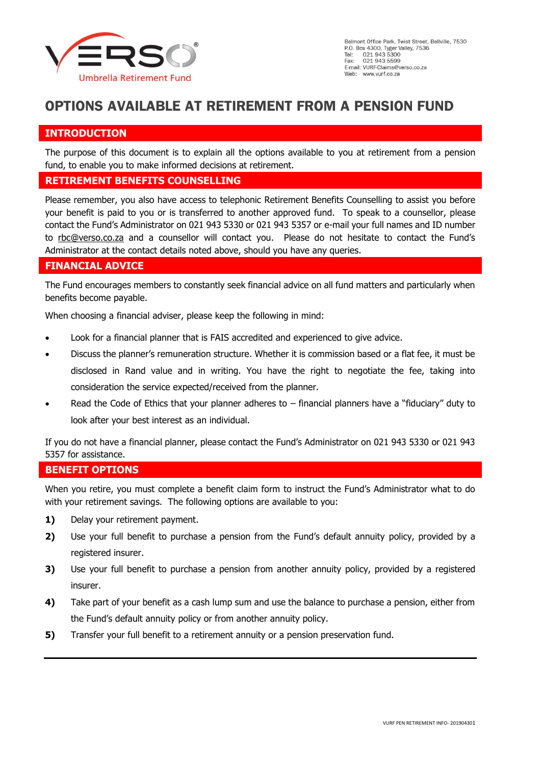

# **OPTIONS AVAILABLE AT RETIREMENT FROM A PENSION FUND**

# **INTRODUCTION**

The purpose of this document is to explain all the options available to you at retirement from a pension fund, to enable you to make informed decisions at retirement.

#### **RETIREMENT BENEFITS COUNSELLING**

Please remember, you also have access to telephonic Retirement Benefits Counselling to assist you before your benefit is paid to you or is transferred to another approved fund. To speak to a counsellor, please contact the Fund's Administrator on 021 943 5330 or 021 943 5357 or e-mail your full names and ID number to [rbc@verso.co.za](mailto:rbc@verso.co.za) and a counsellor will contact you. Please do not hesitate to contact the Fund's Administrator at the contact details noted above, should you have any queries.

# **FINANCIAL ADVICE**

The Fund encourages members to constantly seek financial advice on all fund matters and particularly when benefits become payable.

When choosing a financial adviser, please keep the following in mind:

- Look for a financial planner that is FAIS accredited and experienced to give advice.
- Discuss the planner's remuneration structure. Whether it is commission based or a flat fee, it must be disclosed in Rand value and in writing. You have the right to negotiate the fee, taking into consideration the service expected/received from the planner.
- Read the Code of Ethics that your planner adheres to  $-$  financial planners have a "fiduciary" duty to look after your best interest as an individual.

If you do not have a financial planner, please contact the Fund's Administrator on 021 943 5330 or 021 943 5357 for assistance.

## **BENEFIT OPTIONS**

When you retire, you must complete a benefit claim form to instruct the Fund's Administrator what to do with your retirement savings. The following options are available to you:

- **1)** Delay your retirement payment.
- **2)** Use your full benefit to purchase a pension from the Fund's default annuity policy, provided by a registered insurer.
- **3)** Use your full benefit to purchase a pension from another annuity policy, provided by a registered insurer.
- **4)** Take part of your benefit as a cash lump sum and use the balance to purchase a pension, either from the Fund's default annuity policy or from another annuity policy.
- **5)** Transfer your full benefit to a retirement annuity or a pension preservation fund.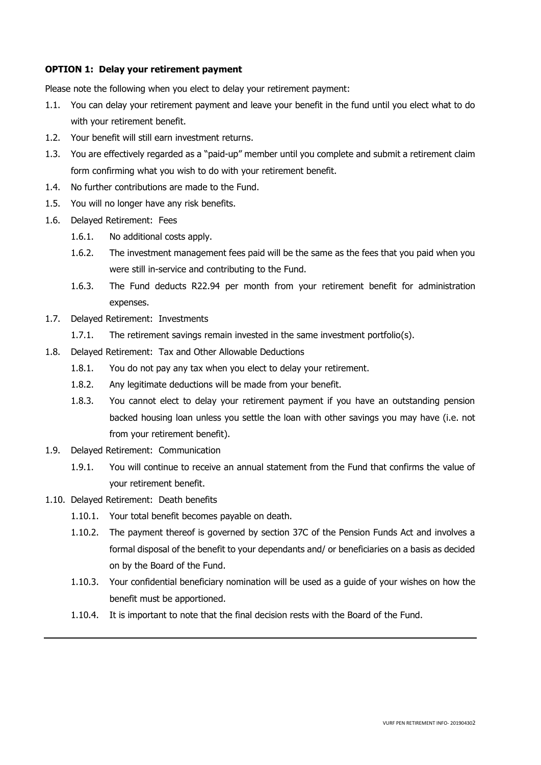#### **OPTION 1: Delay your retirement payment**

Please note the following when you elect to delay your retirement payment:

- 1.1. You can delay your retirement payment and leave your benefit in the fund until you elect what to do with your retirement benefit.
- 1.2. Your benefit will still earn investment returns.
- 1.3. You are effectively regarded as a "paid-up" member until you complete and submit a retirement claim form confirming what you wish to do with your retirement benefit.
- 1.4. No further contributions are made to the Fund.
- 1.5. You will no longer have any risk benefits.
- 1.6. Delayed Retirement: Fees
	- 1.6.1. No additional costs apply.
	- 1.6.2. The investment management fees paid will be the same as the fees that you paid when you were still in-service and contributing to the Fund.
	- 1.6.3. The Fund deducts R22.94 per month from your retirement benefit for administration expenses.
- 1.7. Delayed Retirement: Investments
	- 1.7.1. The retirement savings remain invested in the same investment portfolio(s).
- 1.8. Delayed Retirement: Tax and Other Allowable Deductions
	- 1.8.1. You do not pay any tax when you elect to delay your retirement.
	- 1.8.2. Any legitimate deductions will be made from your benefit.
	- 1.8.3. You cannot elect to delay your retirement payment if you have an outstanding pension backed housing loan unless you settle the loan with other savings you may have (i.e. not from your retirement benefit).
- 1.9. Delayed Retirement: Communication
	- 1.9.1. You will continue to receive an annual statement from the Fund that confirms the value of your retirement benefit.
- 1.10. Delayed Retirement: Death benefits
	- 1.10.1. Your total benefit becomes payable on death.
	- 1.10.2. The payment thereof is governed by section 37C of the Pension Funds Act and involves a formal disposal of the benefit to your dependants and/ or beneficiaries on a basis as decided on by the Board of the Fund.
	- 1.10.3. Your confidential beneficiary nomination will be used as a guide of your wishes on how the benefit must be apportioned.
	- 1.10.4. It is important to note that the final decision rests with the Board of the Fund.